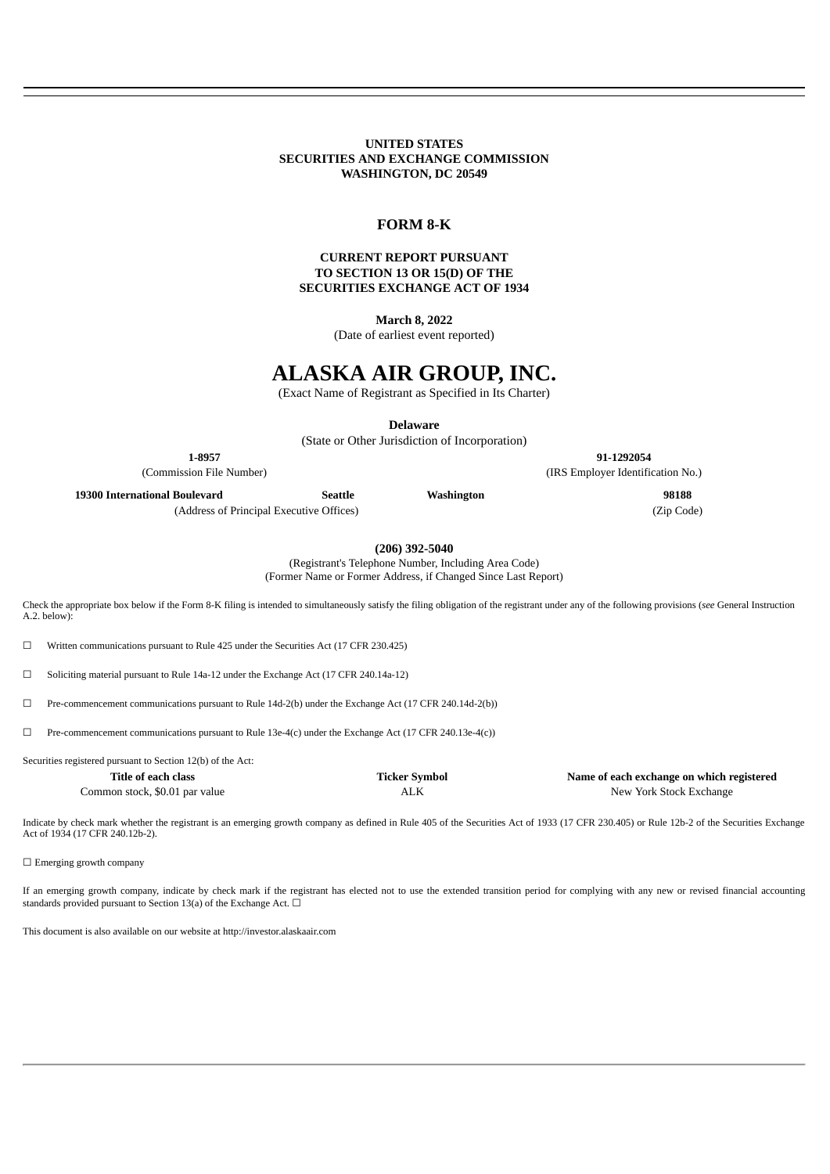### **UNITED STATES SECURITIES AND EXCHANGE COMMISSION WASHINGTON, DC 20549**

## **FORM 8-K**

### **CURRENT REPORT PURSUANT TO SECTION 13 OR 15(D) OF THE SECURITIES EXCHANGE ACT OF 1934**

**March 8, 2022**

(Date of earliest event reported)

# **ALASKA AIR GROUP, INC.**

(Exact Name of Registrant as Specified in Its Charter)

**Delaware**

(State or Other Jurisdiction of Incorporation)

**1-8957 91-1292054** (Commission File Number) (IRS Employer Identification No.)

**19300 International Boulevard Seattle Washington 98188**

(Address of Principal Executive Offices) (Zip Code)

**(206) 392-5040**

(Registrant's Telephone Number, Including Area Code) (Former Name or Former Address, if Changed Since Last Report)

Check the appropriate box below if the Form 8-K filing is intended to simultaneously satisfy the filing obligation of the registrant under any of the following provisions (*see* General Instruction A.2. below):

☐ Written communications pursuant to Rule 425 under the Securities Act (17 CFR 230.425)

☐ Soliciting material pursuant to Rule 14a-12 under the Exchange Act (17 CFR 240.14a-12)

☐ Pre-commencement communications pursuant to Rule 14d-2(b) under the Exchange Act (17 CFR 240.14d-2(b))

 $\Box$  Pre-commencement communications pursuant to Rule 13e-4(c) under the Exchange Act (17 CFR 240.13e-4(c))

Securities registered pursuant to Section 12(b) of the Act:

| Title of each class            | Ticker Symbol | Name of each exchange on which registered |
|--------------------------------|---------------|-------------------------------------------|
| Common stock, \$0.01 par value | ALK           | New York Stock Exchange                   |

Indicate by check mark whether the registrant is an emerging growth company as defined in Rule 405 of the Securities Act of 1933 (17 CFR 230.405) or Rule 12b-2 of the Securities Exchange Act of 1934 (17 CFR 240.12b-2).

□ Emerging growth company

If an emerging growth company, indicate by check mark if the registrant has elected not to use the extended transition period for complying with any new or revised financial accounting standards provided pursuant to Section 13(a) of the Exchange Act.  $\Box$ 

This document is also available on our website at http://investor.alaskaair.com